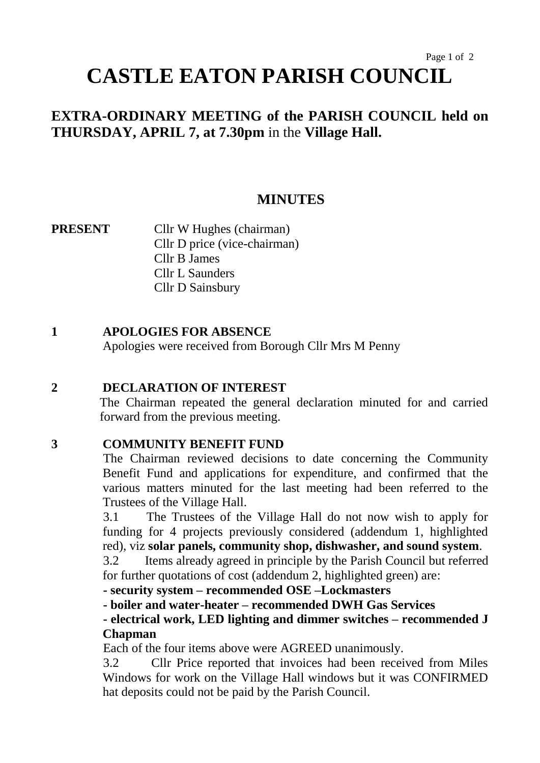# Page 1 of 2 **CASTLE EATON PARISH COUNCIL**

# **EXTRA-ORDINARY MEETING of the PARISH COUNCIL held on THURSDAY, APRIL 7, at 7.30pm** in the **Village Hall.**

## **MINUTES**

**PRESENT** Cllr W Hughes (chairman) Cllr D price (vice-chairman) Cllr B James Cllr L Saunders Cllr D Sainsbury

## **1 APOLOGIES FOR ABSENCE**

Apologies were received from Borough Cllr Mrs M Penny

#### **2 DECLARATION OF INTEREST**

The Chairman repeated the general declaration minuted for and carried forward from the previous meeting.

#### **3 COMMUNITY BENEFIT FUND**

The Chairman reviewed decisions to date concerning the Community Benefit Fund and applications for expenditure, and confirmed that the various matters minuted for the last meeting had been referred to the Trustees of the Village Hall.

3.1 The Trustees of the Village Hall do not now wish to apply for funding for 4 projects previously considered (addendum 1, highlighted red), viz **solar panels, community shop, dishwasher, and sound system**.

3.2 Items already agreed in principle by the Parish Council but referred for further quotations of cost (addendum 2, highlighted green) are:

**- security system – recommended OSE –Lockmasters**

**- boiler and water-heater – recommended DWH Gas Services**

## **- electrical work, LED lighting and dimmer switches – recommended J Chapman**

Each of the four items above were AGREED unanimously.

3.2 Cllr Price reported that invoices had been received from Miles Windows for work on the Village Hall windows but it was CONFIRMED hat deposits could not be paid by the Parish Council.